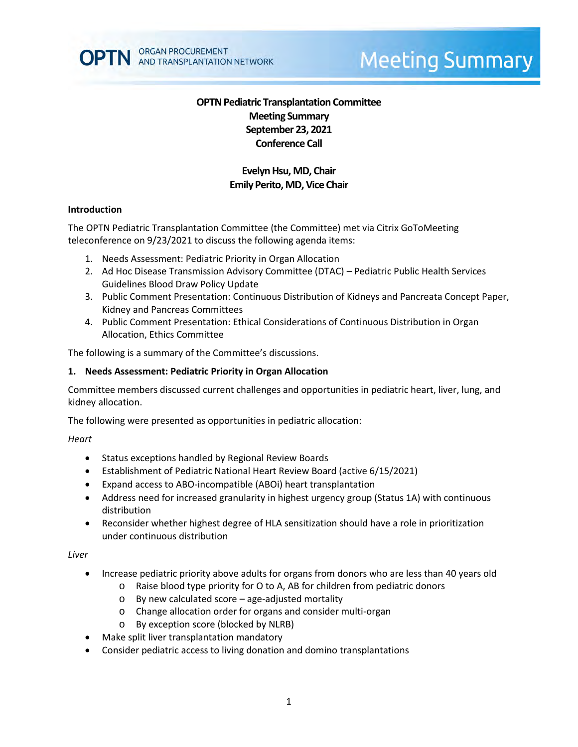

# **Meeting Summary**

## **OPTN Pediatric Transplantation Committee Meeting Summary September 23, 2021 Conference Call**

## **Evelyn Hsu, MD, Chair Emily Perito, MD, Vice Chair**

#### **Introduction**

The OPTN Pediatric Transplantation Committee (the Committee) met via Citrix GoToMeeting teleconference on 9/23/2021 to discuss the following agenda items:

- 1. Needs Assessment: Pediatric Priority in Organ Allocation
- 2. Ad Hoc Disease Transmission Advisory Committee (DTAC) Pediatric Public Health Services Guidelines Blood Draw Policy Update
- 3. Public Comment Presentation: Continuous Distribution of Kidneys and Pancreata Concept Paper, Kidney and Pancreas Committees
- 4. Public Comment Presentation: Ethical Considerations of Continuous Distribution in Organ Allocation, Ethics Committee

The following is a summary of the Committee's discussions.

#### **1. Needs Assessment: Pediatric Priority in Organ Allocation**

Committee members discussed current challenges and opportunities in pediatric heart, liver, lung, and kidney allocation.

The following were presented as opportunities in pediatric allocation:

*Heart*

- Status exceptions handled by Regional Review Boards
- Establishment of Pediatric National Heart Review Board (active 6/15/2021)
- Expand access to ABO-incompatible (ABOi) heart transplantation
- Address need for increased granularity in highest urgency group (Status 1A) with continuous distribution
- Reconsider whether highest degree of HLA sensitization should have a role in prioritization under continuous distribution

*Liver*

- Increase pediatric priority above adults for organs from donors who are less than 40 years old
	- o Raise blood type priority for O to A, AB for children from pediatric donors
	- o By new calculated score age-adjusted mortality
	- o Change allocation order for organs and consider multi-organ
	- o By exception score (blocked by NLRB)
- Make split liver transplantation mandatory
- Consider pediatric access to living donation and domino transplantations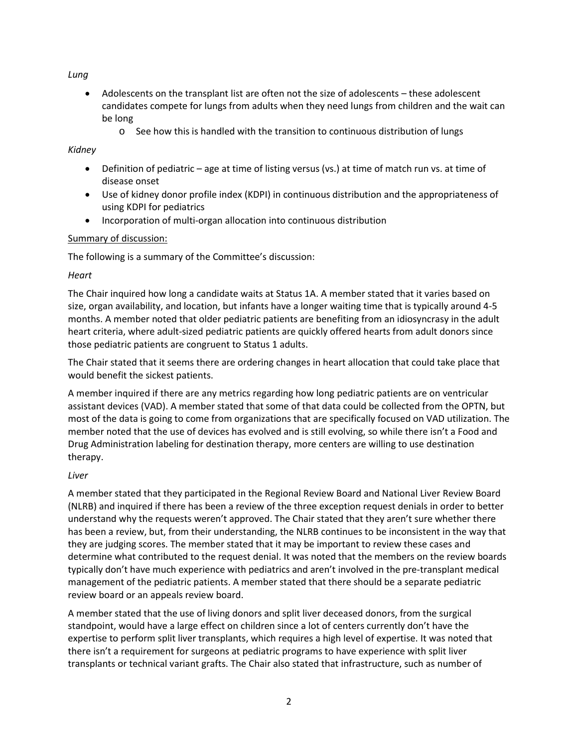*Lung*

- Adolescents on the transplant list are often not the size of adolescents these adolescent candidates compete for lungs from adults when they need lungs from children and the wait can be long
	- $\circ$  See how this is handled with the transition to continuous distribution of lungs

## *Kidney*

- Definition of pediatric age at time of listing versus (vs.) at time of match run vs. at time of disease onset
- Use of kidney donor profile index (KDPI) in continuous distribution and the appropriateness of using KDPI for pediatrics
- Incorporation of multi-organ allocation into continuous distribution

## Summary of discussion:

The following is a summary of the Committee's discussion:

## *Heart*

The Chair inquired how long a candidate waits at Status 1A. A member stated that it varies based on size, organ availability, and location, but infants have a longer waiting time that is typically around 4-5 months. A member noted that older pediatric patients are benefiting from an idiosyncrasy in the adult heart criteria, where adult-sized pediatric patients are quickly offered hearts from adult donors since those pediatric patients are congruent to Status 1 adults.

The Chair stated that it seems there are ordering changes in heart allocation that could take place that would benefit the sickest patients.

A member inquired if there are any metrics regarding how long pediatric patients are on ventricular assistant devices (VAD). A member stated that some of that data could be collected from the OPTN, but most of the data is going to come from organizations that are specifically focused on VAD utilization. The member noted that the use of devices has evolved and is still evolving, so while there isn't a Food and Drug Administration labeling for destination therapy, more centers are willing to use destination therapy.

## *Liver*

A member stated that they participated in the Regional Review Board and National Liver Review Board (NLRB) and inquired if there has been a review of the three exception request denials in order to better understand why the requests weren't approved. The Chair stated that they aren't sure whether there has been a review, but, from their understanding, the NLRB continues to be inconsistent in the way that they are judging scores. The member stated that it may be important to review these cases and determine what contributed to the request denial. It was noted that the members on the review boards typically don't have much experience with pediatrics and aren't involved in the pre-transplant medical management of the pediatric patients. A member stated that there should be a separate pediatric review board or an appeals review board.

A member stated that the use of living donors and split liver deceased donors, from the surgical standpoint, would have a large effect on children since a lot of centers currently don't have the expertise to perform split liver transplants, which requires a high level of expertise. It was noted that there isn't a requirement for surgeons at pediatric programs to have experience with split liver transplants or technical variant grafts. The Chair also stated that infrastructure, such as number of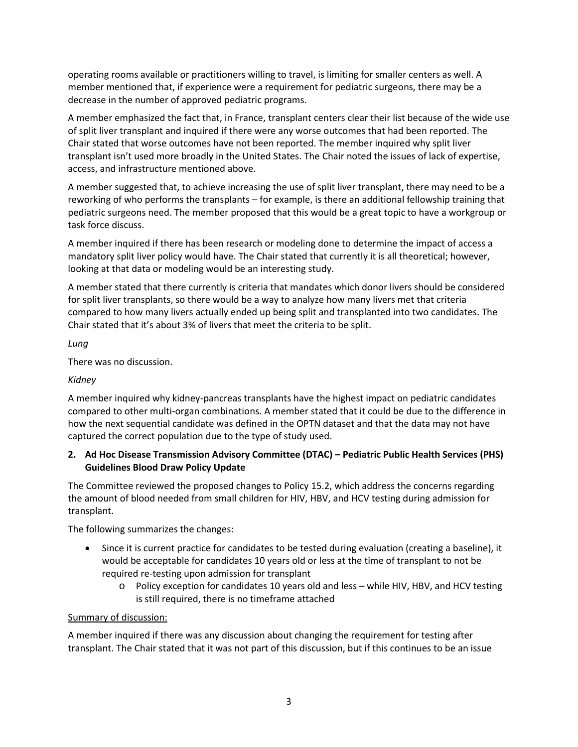operating rooms available or practitioners willing to travel, is limiting for smaller centers as well. A member mentioned that, if experience were a requirement for pediatric surgeons, there may be a decrease in the number of approved pediatric programs.

A member emphasized the fact that, in France, transplant centers clear their list because of the wide use of split liver transplant and inquired if there were any worse outcomes that had been reported. The Chair stated that worse outcomes have not been reported. The member inquired why split liver transplant isn't used more broadly in the United States. The Chair noted the issues of lack of expertise, access, and infrastructure mentioned above.

A member suggested that, to achieve increasing the use of split liver transplant, there may need to be a reworking of who performs the transplants – for example, is there an additional fellowship training that pediatric surgeons need. The member proposed that this would be a great topic to have a workgroup or task force discuss.

A member inquired if there has been research or modeling done to determine the impact of access a mandatory split liver policy would have. The Chair stated that currently it is all theoretical; however, looking at that data or modeling would be an interesting study.

A member stated that there currently is criteria that mandates which donor livers should be considered for split liver transplants, so there would be a way to analyze how many livers met that criteria compared to how many livers actually ended up being split and transplanted into two candidates. The Chair stated that it's about 3% of livers that meet the criteria to be split.

*Lung*

There was no discussion.

## *Kidney*

A member inquired why kidney-pancreas transplants have the highest impact on pediatric candidates compared to other multi-organ combinations. A member stated that it could be due to the difference in how the next sequential candidate was defined in the OPTN dataset and that the data may not have captured the correct population due to the type of study used.

#### **2. Ad Hoc Disease Transmission Advisory Committee (DTAC) – Pediatric Public Health Services (PHS) Guidelines Blood Draw Policy Update**

The Committee reviewed the proposed changes to Policy 15.2, which address the concerns regarding the amount of blood needed from small children for HIV, HBV, and HCV testing during admission for transplant.

The following summarizes the changes:

- Since it is current practice for candidates to be tested during evaluation (creating a baseline), it would be acceptable for candidates 10 years old or less at the time of transplant to not be required re-testing upon admission for transplant
	- o Policy exception for candidates 10 years old and less while HIV, HBV, and HCV testing is still required, there is no timeframe attached

## Summary of discussion:

A member inquired if there was any discussion about changing the requirement for testing after transplant. The Chair stated that it was not part of this discussion, but if this continues to be an issue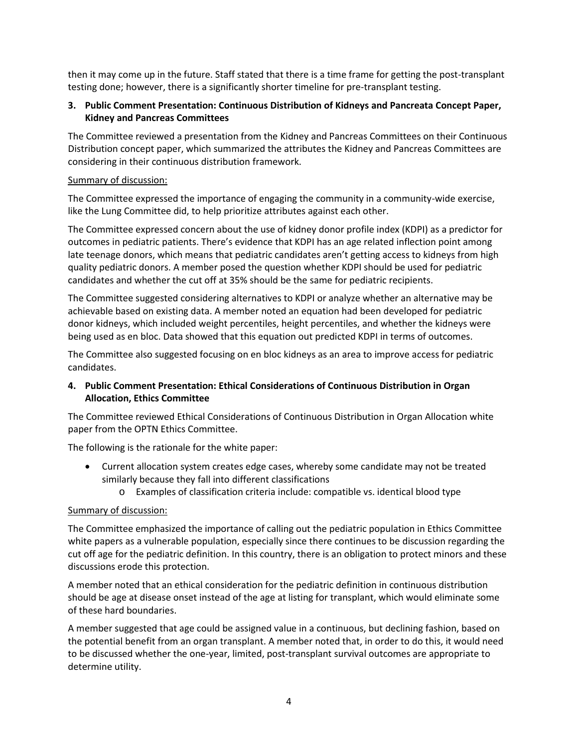then it may come up in the future. Staff stated that there is a time frame for getting the post-transplant testing done; however, there is a significantly shorter timeline for pre-transplant testing.

## **3. Public Comment Presentation: Continuous Distribution of Kidneys and Pancreata Concept Paper, Kidney and Pancreas Committees**

The Committee reviewed a presentation from the Kidney and Pancreas Committees on their Continuous Distribution concept paper, which summarized the attributes the Kidney and Pancreas Committees are considering in their continuous distribution framework.

#### Summary of discussion:

The Committee expressed the importance of engaging the community in a community-wide exercise, like the Lung Committee did, to help prioritize attributes against each other.

The Committee expressed concern about the use of kidney donor profile index (KDPI) as a predictor for outcomes in pediatric patients. There's evidence that KDPI has an age related inflection point among late teenage donors, which means that pediatric candidates aren't getting access to kidneys from high quality pediatric donors. A member posed the question whether KDPI should be used for pediatric candidates and whether the cut off at 35% should be the same for pediatric recipients.

The Committee suggested considering alternatives to KDPI or analyze whether an alternative may be achievable based on existing data. A member noted an equation had been developed for pediatric donor kidneys, which included weight percentiles, height percentiles, and whether the kidneys were being used as en bloc. Data showed that this equation out predicted KDPI in terms of outcomes.

The Committee also suggested focusing on en bloc kidneys as an area to improve access for pediatric candidates.

## **4. Public Comment Presentation: Ethical Considerations of Continuous Distribution in Organ Allocation, Ethics Committee**

The Committee reviewed Ethical Considerations of Continuous Distribution in Organ Allocation white paper from the OPTN Ethics Committee.

The following is the rationale for the white paper:

- Current allocation system creates edge cases, whereby some candidate may not be treated similarly because they fall into different classifications
	- o Examples of classification criteria include: compatible vs. identical blood type

## Summary of discussion:

The Committee emphasized the importance of calling out the pediatric population in Ethics Committee white papers as a vulnerable population, especially since there continues to be discussion regarding the cut off age for the pediatric definition. In this country, there is an obligation to protect minors and these discussions erode this protection.

A member noted that an ethical consideration for the pediatric definition in continuous distribution should be age at disease onset instead of the age at listing for transplant, which would eliminate some of these hard boundaries.

A member suggested that age could be assigned value in a continuous, but declining fashion, based on the potential benefit from an organ transplant. A member noted that, in order to do this, it would need to be discussed whether the one-year, limited, post-transplant survival outcomes are appropriate to determine utility.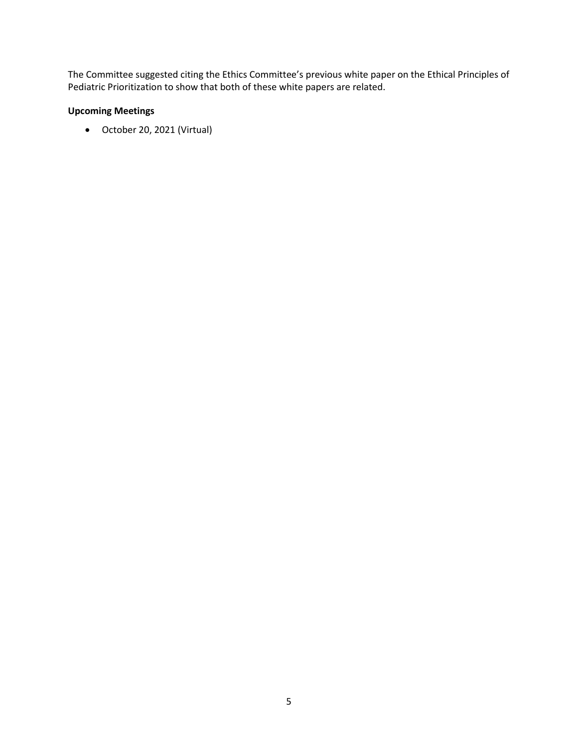The Committee suggested citing the Ethics Committee's previous white paper on the Ethical Principles of Pediatric Prioritization to show that both of these white papers are related.

# **Upcoming Meetings**

October 20, 2021 (Virtual)